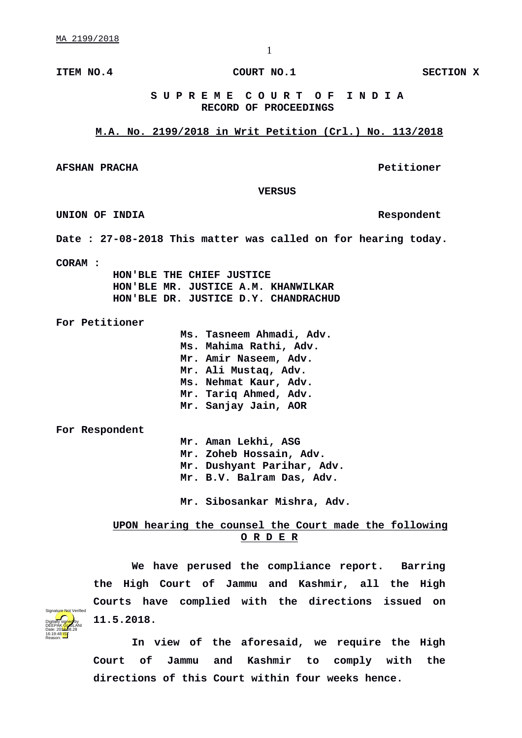**ITEM NO.4 COURT NO.1 SECTION X**

## **S U P R E M E C O U R T O F I N D I A RECORD OF PROCEEDINGS**

**M.A. No. 2199/2018 in Writ Petition (Crl.) No. 113/2018**

**AFSHAN PRACHA Petitioner**

 **VERSUS**

**UNION OF INDIA Respondent**

**Date : 27-08-2018 This matter was called on for hearing today.**

**CORAM :** 

 **HON'BLE THE CHIEF JUSTICE HON'BLE MR. JUSTICE A.M. KHANWILKAR HON'BLE DR. JUSTICE D.Y. CHANDRACHUD**

**For Petitioner**

**Ms. Tasneem Ahmadi, Adv. Ms. Mahima Rathi, Adv. Mr. Amir Naseem, Adv. Mr. Ali Mustaq, Adv. Ms. Nehmat Kaur, Adv. Mr. Tariq Ahmed, Adv. Mr. Sanjay Jain, AOR**

**For Respondent**

**Mr. Aman Lekhi, ASG Mr. Zoheb Hossain, Adv. Mr. Dushyant Parihar, Adv. Mr. B.V. Balram Das, Adv.**

**Mr. Sibosankar Mishra, Adv.** 

 **UPON hearing the counsel the Court made the following O R D E R**

**We have perused the compliance report. Barring the High Court of Jammu and Kashmir, all the High Courts have complied with the directions issued on 11.5.2018.**



**In view of the aforesaid, we require the High Court of Jammu and Kashmir to comply with the directions of this Court within four weeks hence.**